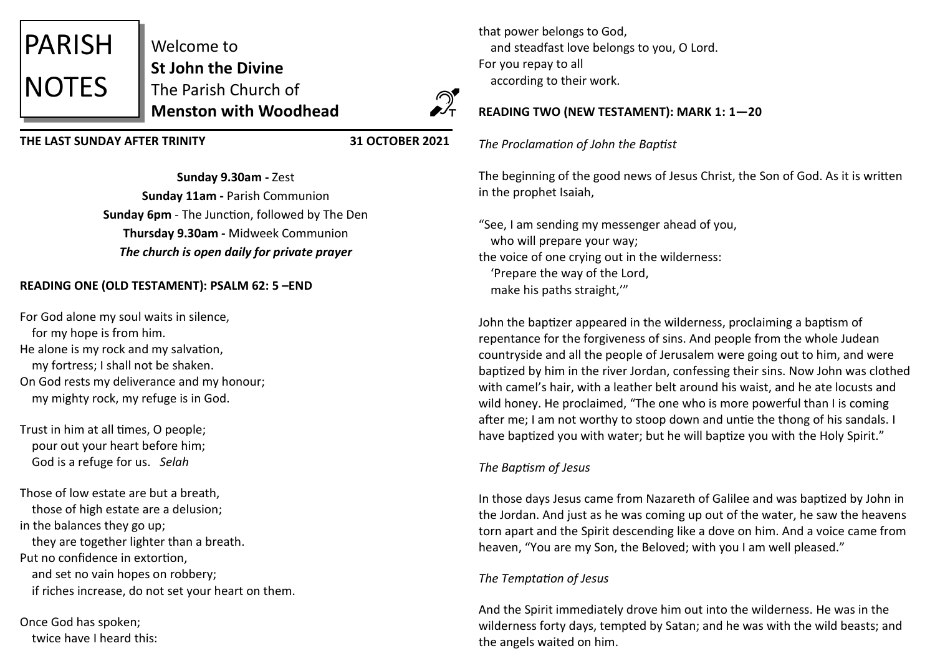

Welcome to **St John the Divine**  The Parish Church of **Menston with Woodhead**

**THE LAST SUNDAY AFTER TRINITY 31 OCTOBER 2021**

 $\mathcal{D}_{\tau}$ 

**Sunday 9.30am -** Zest **Sunday 11am -** Parish Communion **Sunday 6pm** - The Junction, followed by The Den **Thursday 9.30am -** Midweek Communion *The church is open daily for private prayer*

# **READING ONE (OLD TESTAMENT): PSALM 62: 5 –END**

For God alone my soul waits in silence, for my hope is from him. He alone is my rock and my salvation, my fortress; I shall not be shaken. On God rests my deliverance and my honour; my mighty rock, my refuge is in God.

Trust in him at all times, O people; pour out your heart before him; God is a refuge for us. *Selah*

Those of low estate are but a breath, those of high estate are a delusion; in the balances they go up; they are together lighter than a breath. Put no confidence in extortion, and set no vain hopes on robbery; if riches increase, do not set your heart on them.

Once God has spoken; twice have I heard this: that power belongs to God, and steadfast love belongs to you, O Lord. For you repay to all according to their work.

# **READING TWO (NEW TESTAMENT): MARK 1: 1—20**

*The Proclamation of John the Baptist*

The beginning of the good news of Jesus Christ, the Son of God. As it is written in the prophet Isaiah,

"See, I am sending my messenger ahead of you, who will prepare your way; the voice of one crying out in the wilderness: 'Prepare the way of the Lord, make his paths straight,'"

John the baptizer appeared in the wilderness, proclaiming a baptism of repentance for the forgiveness of sins. And people from the whole Judean countryside and all the people of Jerusalem were going out to him, and were baptized by him in the river Jordan, confessing their sins. Now John was clothed with camel's hair, with a leather belt around his waist, and he ate locusts and wild honey. He proclaimed, "The one who is more powerful than I is coming after me; I am not worthy to stoop down and untie the thong of his sandals. I have baptized you with water; but he will baptize you with the Holy Spirit."

## *The Baptism of Jesus*

In those days Jesus came from Nazareth of Galilee and was baptized by John in the Jordan. And just as he was coming up out of the water, he saw the heavens torn apart and the Spirit descending like a dove on him. And a voice came from heaven, "You are my Son, the Beloved; with you I am well pleased."

## *The Temptation of Jesus*

And the Spirit immediately drove him out into the wilderness. He was in the wilderness forty days, tempted by Satan; and he was with the wild beasts; and the angels waited on him.